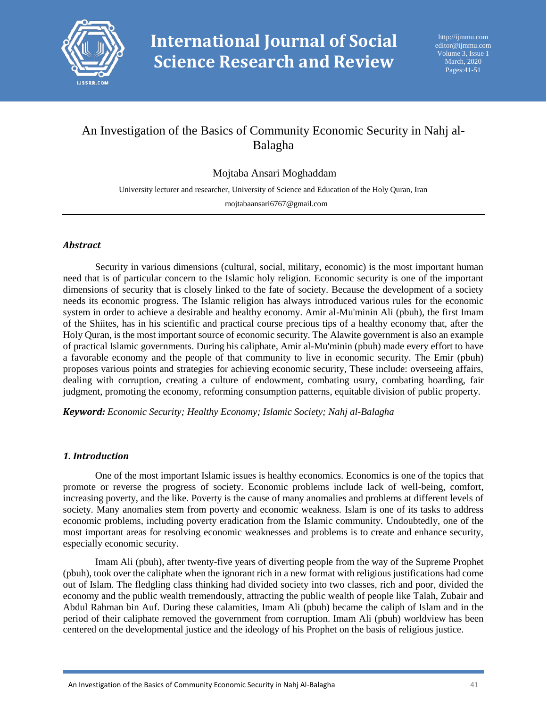

# An Investigation of the Basics of Community Economic Security in Nahj al-Balagha

# Mojtaba Ansari Moghaddam

University lecturer and researcher, University of Science and Education of the Holy Quran, Iran mojtabaansari6767@gmail.com

#### *Abstract*

Security in various dimensions (cultural, social, military, economic) is the most important human need that is of particular concern to the Islamic holy religion. Economic security is one of the important dimensions of security that is closely linked to the fate of society. Because the development of a society needs its economic progress. The Islamic religion has always introduced various rules for the economic system in order to achieve a desirable and healthy economy. Amir al-Mu'minin Ali (pbuh), the first Imam of the Shiites, has in his scientific and practical course precious tips of a healthy economy that, after the Holy Quran, is the most important source of economic security. The Alawite government is also an example of practical Islamic governments. During his caliphate, Amir al-Mu'minin (pbuh) made every effort to have a favorable economy and the people of that community to live in economic security. The Emir (pbuh) proposes various points and strategies for achieving economic security, These include: overseeing affairs, dealing with corruption, creating a culture of endowment, combating usury, combating hoarding, fair judgment, promoting the economy, reforming consumption patterns, equitable division of public property.

*Keyword: Economic Security; Healthy Economy; Islamic Society; Nahj al-Balagha*

#### *1. Introduction*

One of the most important Islamic issues is healthy economics. Economics is one of the topics that promote or reverse the progress of society. Economic problems include lack of well-being, comfort, increasing poverty, and the like. Poverty is the cause of many anomalies and problems at different levels of society. Many anomalies stem from poverty and economic weakness. Islam is one of its tasks to address economic problems, including poverty eradication from the Islamic community. Undoubtedly, one of the most important areas for resolving economic weaknesses and problems is to create and enhance security, especially economic security.

Imam Ali (pbuh), after twenty-five years of diverting people from the way of the Supreme Prophet (pbuh), took over the caliphate when the ignorant rich in a new format with religious justifications had come out of Islam. The fledgling class thinking had divided society into two classes, rich and poor, divided the economy and the public wealth tremendously, attracting the public wealth of people like Talah, Zubair and Abdul Rahman bin Auf. During these calamities, Imam Ali (pbuh) became the caliph of Islam and in the period of their caliphate removed the government from corruption. Imam Ali (pbuh) worldview has been centered on the developmental justice and the ideology of his Prophet on the basis of religious justice.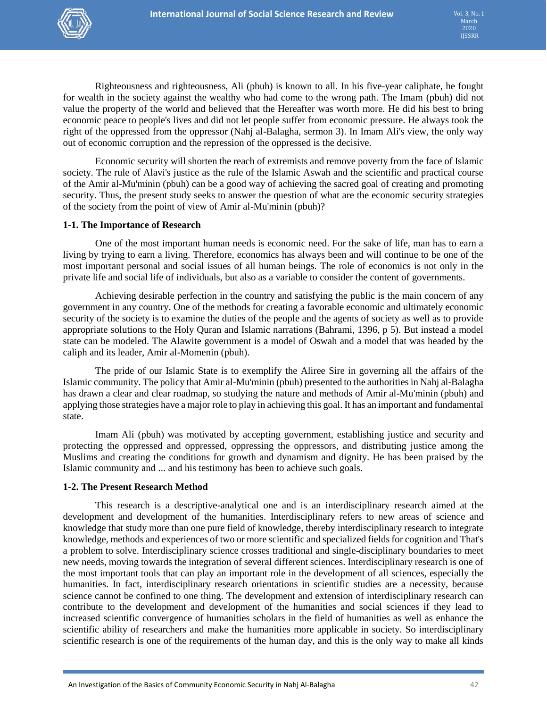

Righteousness and righteousness, Ali (pbuh) is known to all. In his five-year caliphate, he fought for wealth in the society against the wealthy who had come to the wrong path. The Imam (pbuh) did not value the property of the world and believed that the Hereafter was worth more. He did his best to bring economic peace to people's lives and did not let people suffer from economic pressure. He always took the right of the oppressed from the oppressor (Nahj al-Balagha, sermon 3). In Imam Ali's view, the only way out of economic corruption and the repression of the oppressed is the decisive.

Economic security will shorten the reach of extremists and remove poverty from the face of Islamic society. The rule of Alavi's justice as the rule of the Islamic Aswah and the scientific and practical course of the Amir al-Mu'minin (pbuh) can be a good way of achieving the sacred goal of creating and promoting security. Thus, the present study seeks to answer the question of what are the economic security strategies of the society from the point of view of Amir al-Mu'minin (pbuh)?

#### **1-1. The Importance of Research**

One of the most important human needs is economic need. For the sake of life, man has to earn a living by trying to earn a living. Therefore, economics has always been and will continue to be one of the most important personal and social issues of all human beings. The role of economics is not only in the private life and social life of individuals, but also as a variable to consider the content of governments.

Achieving desirable perfection in the country and satisfying the public is the main concern of any government in any country. One of the methods for creating a favorable economic and ultimately economic security of the society is to examine the duties of the people and the agents of society as well as to provide appropriate solutions to the Holy Quran and Islamic narrations (Bahrami, 1396, p 5). But instead a model state can be modeled. The Alawite government is a model of Oswah and a model that was headed by the caliph and its leader, Amir al-Momenin (pbuh).

The pride of our Islamic State is to exemplify the Aliree Sire in governing all the affairs of the Islamic community. The policy that Amir al-Mu'minin (pbuh) presented to the authorities in Nahj al-Balagha has drawn a clear and clear roadmap, so studying the nature and methods of Amir al-Mu'minin (pbuh) and applying those strategies have a major role to play in achieving this goal. It has an important and fundamental state.

Imam Ali (pbuh) was motivated by accepting government, establishing justice and security and protecting the oppressed and oppressed, oppressing the oppressors, and distributing justice among the Muslims and creating the conditions for growth and dynamism and dignity. He has been praised by the Islamic community and ... and his testimony has been to achieve such goals.

#### **1-2. The Present Research Method**

This research is a descriptive-analytical one and is an interdisciplinary research aimed at the development and development of the humanities. Interdisciplinary refers to new areas of science and knowledge that study more than one pure field of knowledge, thereby interdisciplinary research to integrate knowledge, methods and experiences of two or more scientific and specialized fields for cognition and That's a problem to solve. Interdisciplinary science crosses traditional and single-disciplinary boundaries to meet new needs, moving towards the integration of several different sciences. Interdisciplinary research is one of the most important tools that can play an important role in the development of all sciences, especially the humanities. In fact, interdisciplinary research orientations in scientific studies are a necessity, because science cannot be confined to one thing. The development and extension of interdisciplinary research can contribute to the development and development of the humanities and social sciences if they lead to increased scientific convergence of humanities scholars in the field of humanities as well as enhance the scientific ability of researchers and make the humanities more applicable in society. So interdisciplinary scientific research is one of the requirements of the human day, and this is the only way to make all kinds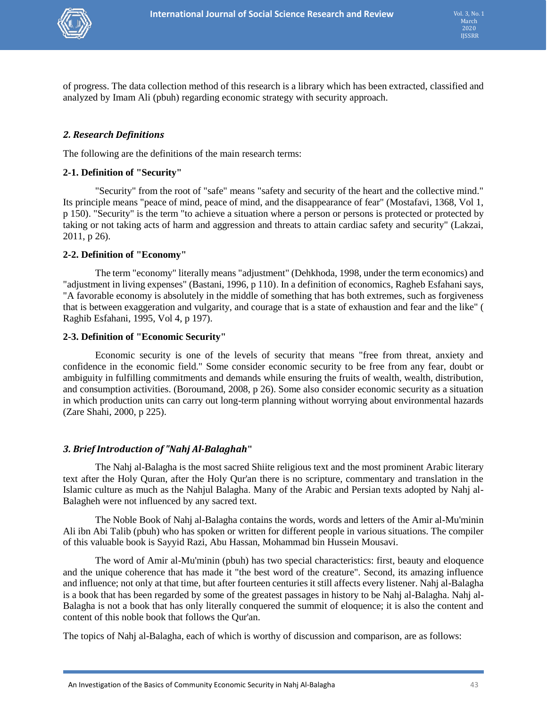

of progress. The data collection method of this research is a library which has been extracted, classified and analyzed by Imam Ali (pbuh) regarding economic strategy with security approach.

# *2. Research Definitions*

The following are the definitions of the main research terms:

#### **2-1. Definition of "Security"**

"Security" from the root of "safe" means "safety and security of the heart and the collective mind." Its principle means "peace of mind, peace of mind, and the disappearance of fear" (Mostafavi, 1368, Vol 1, p 150). "Security" is the term "to achieve a situation where a person or persons is protected or protected by taking or not taking acts of harm and aggression and threats to attain cardiac safety and security" (Lakzai, 2011, p 26).

#### **2-2. Definition of "Economy"**

The term "economy" literally means "adjustment" (Dehkhoda, 1998, under the term economics) and "adjustment in living expenses" (Bastani, 1996, p 110). In a definition of economics, Ragheb Esfahani says, "A favorable economy is absolutely in the middle of something that has both extremes, such as forgiveness that is between exaggeration and vulgarity, and courage that is a state of exhaustion and fear and the like" ( Raghib Esfahani, 1995, Vol 4, p 197).

#### **2-3. Definition of "Economic Security"**

Economic security is one of the levels of security that means "free from threat, anxiety and confidence in the economic field." Some consider economic security to be free from any fear, doubt or ambiguity in fulfilling commitments and demands while ensuring the fruits of wealth, wealth, distribution, and consumption activities. (Boroumand, 2008, p 26). Some also consider economic security as a situation in which production units can carry out long-term planning without worrying about environmental hazards (Zare Shahi, 2000, p 225).

# *3. Brief Introduction of "Nahj Al-Balaghah***"**

The Nahj al-Balagha is the most sacred Shiite religious text and the most prominent Arabic literary text after the Holy Quran, after the Holy Qur'an there is no scripture, commentary and translation in the Islamic culture as much as the Nahjul Balagha. Many of the Arabic and Persian texts adopted by Nahj al-Balagheh were not influenced by any sacred text.

The Noble Book of Nahj al-Balagha contains the words, words and letters of the Amir al-Mu'minin Ali ibn Abi Talib (pbuh) who has spoken or written for different people in various situations. The compiler of this valuable book is Sayyid Razi, Abu Hassan, Mohammad bin Hussein Mousavi.

The word of Amir al-Mu'minin (pbuh) has two special characteristics: first, beauty and eloquence and the unique coherence that has made it "the best word of the creature". Second, its amazing influence and influence; not only at that time, but after fourteen centuries it still affects every listener. Nahj al-Balagha is a book that has been regarded by some of the greatest passages in history to be Nahj al-Balagha. Nahj al-Balagha is not a book that has only literally conquered the summit of eloquence; it is also the content and content of this noble book that follows the Qur'an.

The topics of Nahj al-Balagha, each of which is worthy of discussion and comparison, are as follows: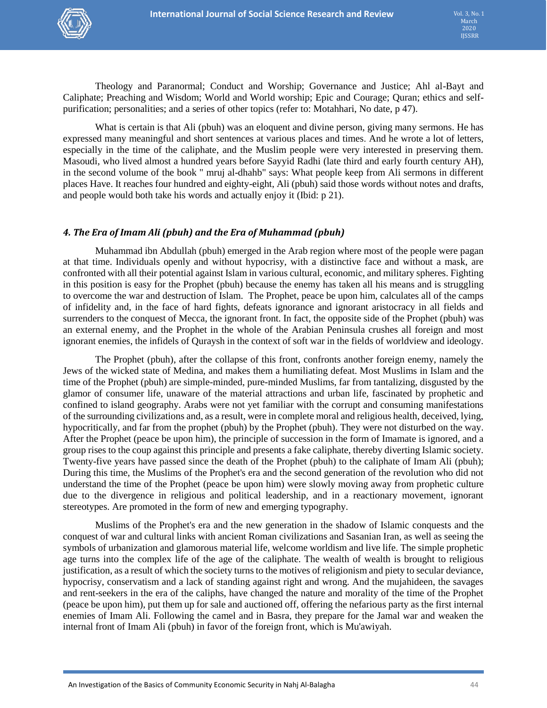Theology and Paranormal; Conduct and Worship; Governance and Justice; Ahl al-Bayt and Caliphate; Preaching and Wisdom; World and World worship; Epic and Courage; Quran; ethics and selfpurification; personalities; and a series of other topics (refer to: Motahhari, No date, p 47).

What is certain is that Ali (pbuh) was an eloquent and divine person, giving many sermons. He has expressed many meaningful and short sentences at various places and times. And he wrote a lot of letters, especially in the time of the caliphate, and the Muslim people were very interested in preserving them. Masoudi, who lived almost a hundred years before Sayyid Radhi (late third and early fourth century AH), in the second volume of the book " mruj al-dhahb" says: What people keep from Ali sermons in different places Have. It reaches four hundred and eighty-eight, Ali (pbuh) said those words without notes and drafts, and people would both take his words and actually enjoy it (Ibid: p 21).

# *4. The Era of Imam Ali (pbuh) and the Era of Muhammad (pbuh)*

Muhammad ibn Abdullah (pbuh) emerged in the Arab region where most of the people were pagan at that time. Individuals openly and without hypocrisy, with a distinctive face and without a mask, are confronted with all their potential against Islam in various cultural, economic, and military spheres. Fighting in this position is easy for the Prophet (pbuh) because the enemy has taken all his means and is struggling to overcome the war and destruction of Islam. The Prophet, peace be upon him, calculates all of the camps of infidelity and, in the face of hard fights, defeats ignorance and ignorant aristocracy in all fields and surrenders to the conquest of Mecca, the ignorant front. In fact, the opposite side of the Prophet (pbuh) was an external enemy, and the Prophet in the whole of the Arabian Peninsula crushes all foreign and most ignorant enemies, the infidels of Quraysh in the context of soft war in the fields of worldview and ideology.

The Prophet (pbuh), after the collapse of this front, confronts another foreign enemy, namely the Jews of the wicked state of Medina, and makes them a humiliating defeat. Most Muslims in Islam and the time of the Prophet (pbuh) are simple-minded, pure-minded Muslims, far from tantalizing, disgusted by the glamor of consumer life, unaware of the material attractions and urban life, fascinated by prophetic and confined to island geography. Arabs were not yet familiar with the corrupt and consuming manifestations of the surrounding civilizations and, as a result, were in complete moral and religious health, deceived, lying, hypocritically, and far from the prophet (pbuh) by the Prophet (pbuh). They were not disturbed on the way. After the Prophet (peace be upon him), the principle of succession in the form of Imamate is ignored, and a group rises to the coup against this principle and presents a fake caliphate, thereby diverting Islamic society. Twenty-five years have passed since the death of the Prophet (pbuh) to the caliphate of Imam Ali (pbuh); During this time, the Muslims of the Prophet's era and the second generation of the revolution who did not understand the time of the Prophet (peace be upon him) were slowly moving away from prophetic culture due to the divergence in religious and political leadership, and in a reactionary movement, ignorant stereotypes. Are promoted in the form of new and emerging typography.

Muslims of the Prophet's era and the new generation in the shadow of Islamic conquests and the conquest of war and cultural links with ancient Roman civilizations and Sasanian Iran, as well as seeing the symbols of urbanization and glamorous material life, welcome worldism and live life. The simple prophetic age turns into the complex life of the age of the caliphate. The wealth of wealth is brought to religious justification, as a result of which the society turns to the motives of religionism and piety to secular deviance, hypocrisy, conservatism and a lack of standing against right and wrong. And the mujahideen, the savages and rent-seekers in the era of the caliphs, have changed the nature and morality of the time of the Prophet (peace be upon him), put them up for sale and auctioned off, offering the nefarious party as the first internal enemies of Imam Ali. Following the camel and in Basra, they prepare for the Jamal war and weaken the internal front of Imam Ali (pbuh) in favor of the foreign front, which is Mu'awiyah.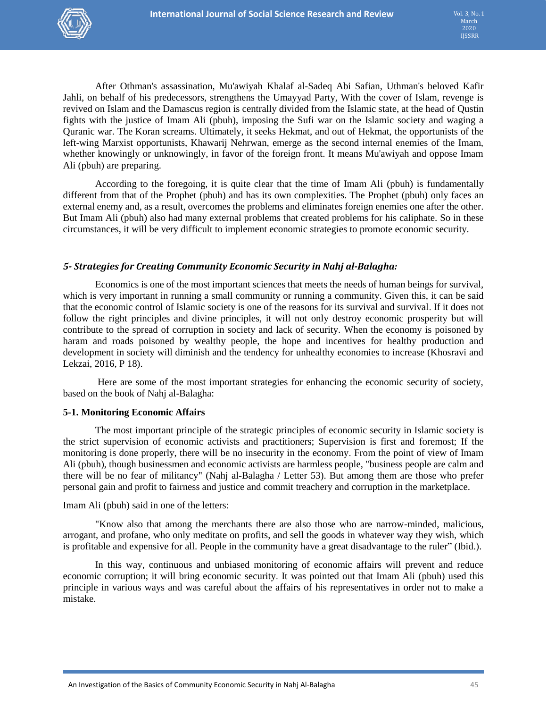

After Othman's assassination, Mu'awiyah Khalaf al-Sadeq Abi Safian, Uthman's beloved Kafir Jahli, on behalf of his predecessors, strengthens the Umayyad Party, With the cover of Islam, revenge is revived on Islam and the Damascus region is centrally divided from the Islamic state, at the head of Qustin fights with the justice of Imam Ali (pbuh), imposing the Sufi war on the Islamic society and waging a Quranic war. The Koran screams. Ultimately, it seeks Hekmat, and out of Hekmat, the opportunists of the left-wing Marxist opportunists, Khawarij Nehrwan, emerge as the second internal enemies of the Imam, whether knowingly or unknowingly, in favor of the foreign front. It means Mu'awiyah and oppose Imam Ali (pbuh) are preparing.

According to the foregoing, it is quite clear that the time of Imam Ali (pbuh) is fundamentally different from that of the Prophet (pbuh) and has its own complexities. The Prophet (pbuh) only faces an external enemy and, as a result, overcomes the problems and eliminates foreign enemies one after the other. But Imam Ali (pbuh) also had many external problems that created problems for his caliphate. So in these circumstances, it will be very difficult to implement economic strategies to promote economic security.

# *5- Strategies for Creating Community Economic Security in Nahj al-Balagha:*

Economics is one of the most important sciences that meets the needs of human beings for survival, which is very important in running a small community or running a community. Given this, it can be said that the economic control of Islamic society is one of the reasons for its survival and survival. If it does not follow the right principles and divine principles, it will not only destroy economic prosperity but will contribute to the spread of corruption in society and lack of security. When the economy is poisoned by haram and roads poisoned by wealthy people, the hope and incentives for healthy production and development in society will diminish and the tendency for unhealthy economies to increase (Khosravi and Lekzai, 2016, P 18).

Here are some of the most important strategies for enhancing the economic security of society, based on the book of Nahj al-Balagha:

#### **5-1. Monitoring Economic Affairs**

The most important principle of the strategic principles of economic security in Islamic society is the strict supervision of economic activists and practitioners; Supervision is first and foremost; If the monitoring is done properly, there will be no insecurity in the economy. From the point of view of Imam Ali (pbuh), though businessmen and economic activists are harmless people, "business people are calm and there will be no fear of militancy" (Nahj al-Balagha / Letter 53). But among them are those who prefer personal gain and profit to fairness and justice and commit treachery and corruption in the marketplace.

#### Imam Ali (pbuh) said in one of the letters:

"Know also that among the merchants there are also those who are narrow-minded, malicious, arrogant, and profane, who only meditate on profits, and sell the goods in whatever way they wish, which is profitable and expensive for all. People in the community have a great disadvantage to the ruler" (Ibid.).

In this way, continuous and unbiased monitoring of economic affairs will prevent and reduce economic corruption; it will bring economic security. It was pointed out that Imam Ali (pbuh) used this principle in various ways and was careful about the affairs of his representatives in order not to make a mistake.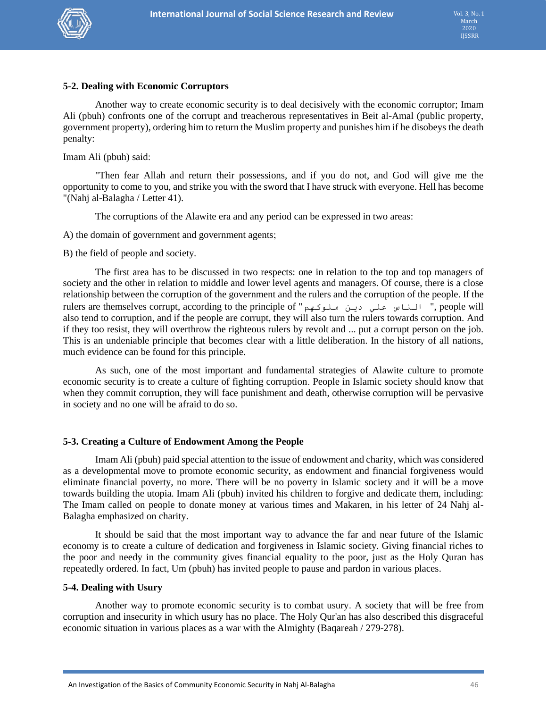

# **5-2. Dealing with Economic Corruptors**

Another way to create economic security is to deal decisively with the economic corruptor; Imam Ali (pbuh) confronts one of the corrupt and treacherous representatives in Beit al-Amal (public property, government property), ordering him to return the Muslim property and punishes him if he disobeys the death penalty:

Imam Ali (pbuh) said:

"Then fear Allah and return their possessions, and if you do not, and God will give me the opportunity to come to you, and strike you with the sword that I have struck with everyone. Hell has become "(Nahj al-Balagha / Letter 41).

The corruptions of the Alawite era and any period can be expressed in two areas:

A) the domain of government and government agents;

B) the field of people and society.

The first area has to be discussed in two respects: one in relation to the top and top managers of society and the other in relation to middle and lower level agents and managers. Of course, there is a close relationship between the corruption of the government and the rulers and the corruption of the people. If the rulers are themselves corrupt, according to the principle of "ملوكهم دين علي الناس" , people will also tend to corruption, and if the people are corrupt, they will also turn the rulers towards corruption. And if they too resist, they will overthrow the righteous rulers by revolt and ... put a corrupt person on the job. This is an undeniable principle that becomes clear with a little deliberation. In the history of all nations, much evidence can be found for this principle.

As such, one of the most important and fundamental strategies of Alawite culture to promote economic security is to create a culture of fighting corruption. People in Islamic society should know that when they commit corruption, they will face punishment and death, otherwise corruption will be pervasive in society and no one will be afraid to do so.

# **5-3. Creating a Culture of Endowment Among the People**

Imam Ali (pbuh) paid special attention to the issue of endowment and charity, which was considered as a developmental move to promote economic security, as endowment and financial forgiveness would eliminate financial poverty, no more. There will be no poverty in Islamic society and it will be a move towards building the utopia. Imam Ali (pbuh) invited his children to forgive and dedicate them, including: The Imam called on people to donate money at various times and Makaren, in his letter of 24 Nahj al-Balagha emphasized on charity.

It should be said that the most important way to advance the far and near future of the Islamic economy is to create a culture of dedication and forgiveness in Islamic society. Giving financial riches to the poor and needy in the community gives financial equality to the poor, just as the Holy Quran has repeatedly ordered. In fact, Um (pbuh) has invited people to pause and pardon in various places.

# **5-4. Dealing with Usury**

Another way to promote economic security is to combat usury. A society that will be free from corruption and insecurity in which usury has no place. The Holy Qur'an has also described this disgraceful economic situation in various places as a war with the Almighty (Baqareah / 279-278).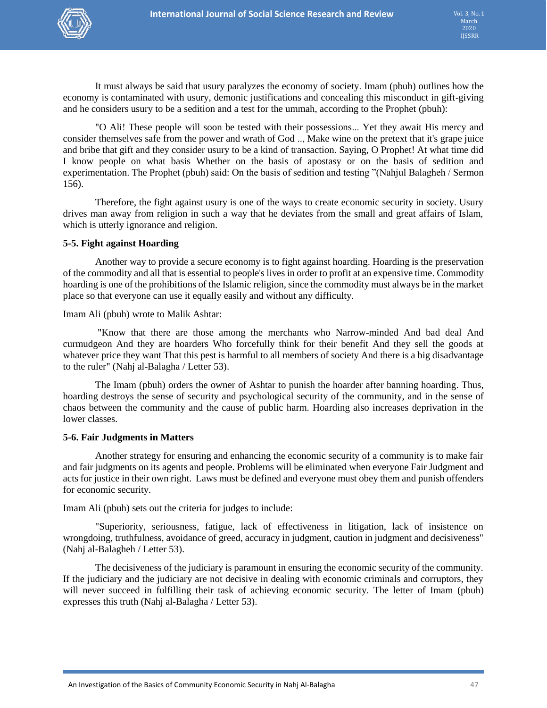

It must always be said that usury paralyzes the economy of society. Imam (pbuh) outlines how the economy is contaminated with usury, demonic justifications and concealing this misconduct in gift-giving and he considers usury to be a sedition and a test for the ummah, according to the Prophet (pbuh):

"O Ali! These people will soon be tested with their possessions... Yet they await His mercy and consider themselves safe from the power and wrath of God .., Make wine on the pretext that it's grape juice and bribe that gift and they consider usury to be a kind of transaction. Saying, O Prophet! At what time did I know people on what basis Whether on the basis of apostasy or on the basis of sedition and experimentation. The Prophet (pbuh) said: On the basis of sedition and testing "(Nahjul Balagheh / Sermon 156).

Therefore, the fight against usury is one of the ways to create economic security in society. Usury drives man away from religion in such a way that he deviates from the small and great affairs of Islam, which is utterly ignorance and religion.

#### **5-5. Fight against Hoarding**

Another way to provide a secure economy is to fight against hoarding. Hoarding is the preservation of the commodity and all that is essential to people's lives in order to profit at an expensive time. Commodity hoarding is one of the prohibitions of the Islamic religion, since the commodity must always be in the market place so that everyone can use it equally easily and without any difficulty.

Imam Ali (pbuh) wrote to Malik Ashtar:

"Know that there are those among the merchants who Narrow-minded And bad deal And curmudgeon And they are hoarders Who forcefully think for their benefit And they sell the goods at whatever price they want That this pest is harmful to all members of society And there is a big disadvantage to the ruler" (Nahj al-Balagha / Letter 53).

The Imam (pbuh) orders the owner of Ashtar to punish the hoarder after banning hoarding. Thus, hoarding destroys the sense of security and psychological security of the community, and in the sense of chaos between the community and the cause of public harm. Hoarding also increases deprivation in the lower classes.

#### **5-6. Fair Judgments in Matters**

Another strategy for ensuring and enhancing the economic security of a community is to make fair and fair judgments on its agents and people. Problems will be eliminated when everyone Fair Judgment and acts for justice in their own right. Laws must be defined and everyone must obey them and punish offenders for economic security.

Imam Ali (pbuh) sets out the criteria for judges to include:

"Superiority, seriousness, fatigue, lack of effectiveness in litigation, lack of insistence on wrongdoing, truthfulness, avoidance of greed, accuracy in judgment, caution in judgment and decisiveness" (Nahj al-Balagheh / Letter 53).

The decisiveness of the judiciary is paramount in ensuring the economic security of the community. If the judiciary and the judiciary are not decisive in dealing with economic criminals and corruptors, they will never succeed in fulfilling their task of achieving economic security. The letter of Imam (pbuh) expresses this truth (Nahj al-Balagha / Letter 53).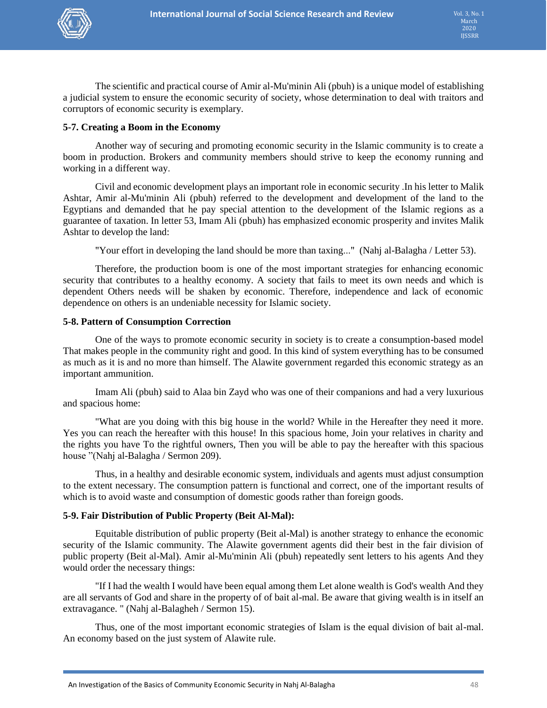

The scientific and practical course of Amir al-Mu'minin Ali (pbuh) is a unique model of establishing a judicial system to ensure the economic security of society, whose determination to deal with traitors and corruptors of economic security is exemplary.

# **5-7. Creating a Boom in the Economy**

Another way of securing and promoting economic security in the Islamic community is to create a boom in production. Brokers and community members should strive to keep the economy running and working in a different way.

Civil and economic development plays an important role in economic security .In his letter to Malik Ashtar, Amir al-Mu'minin Ali (pbuh) referred to the development and development of the land to the Egyptians and demanded that he pay special attention to the development of the Islamic regions as a guarantee of taxation. In letter 53, Imam Ali (pbuh) has emphasized economic prosperity and invites Malik Ashtar to develop the land:

"Your effort in developing the land should be more than taxing..." (Nahj al-Balagha / Letter 53).

Therefore, the production boom is one of the most important strategies for enhancing economic security that contributes to a healthy economy. A society that fails to meet its own needs and which is dependent Others needs will be shaken by economic. Therefore, independence and lack of economic dependence on others is an undeniable necessity for Islamic society.

#### **5-8. Pattern of Consumption Correction**

One of the ways to promote economic security in society is to create a consumption-based model That makes people in the community right and good. In this kind of system everything has to be consumed as much as it is and no more than himself. The Alawite government regarded this economic strategy as an important ammunition.

Imam Ali (pbuh) said to Alaa bin Zayd who was one of their companions and had a very luxurious and spacious home:

"What are you doing with this big house in the world? While in the Hereafter they need it more. Yes you can reach the hereafter with this house! In this spacious home, Join your relatives in charity and the rights you have To the rightful owners, Then you will be able to pay the hereafter with this spacious house "(Nahj al-Balagha / Sermon 209).

Thus, in a healthy and desirable economic system, individuals and agents must adjust consumption to the extent necessary. The consumption pattern is functional and correct, one of the important results of which is to avoid waste and consumption of domestic goods rather than foreign goods.

# **5-9. Fair Distribution of Public Property (Beit Al-Mal):**

Equitable distribution of public property (Beit al-Mal) is another strategy to enhance the economic security of the Islamic community. The Alawite government agents did their best in the fair division of public property (Beit al-Mal). Amir al-Mu'minin Ali (pbuh) repeatedly sent letters to his agents And they would order the necessary things:

"If I had the wealth I would have been equal among them Let alone wealth is God's wealth And they are all servants of God and share in the property of of bait al-mal. Be aware that giving wealth is in itself an extravagance. " (Nahj al-Balagheh / Sermon 15).

Thus, one of the most important economic strategies of Islam is the equal division of bait al-mal. An economy based on the just system of Alawite rule.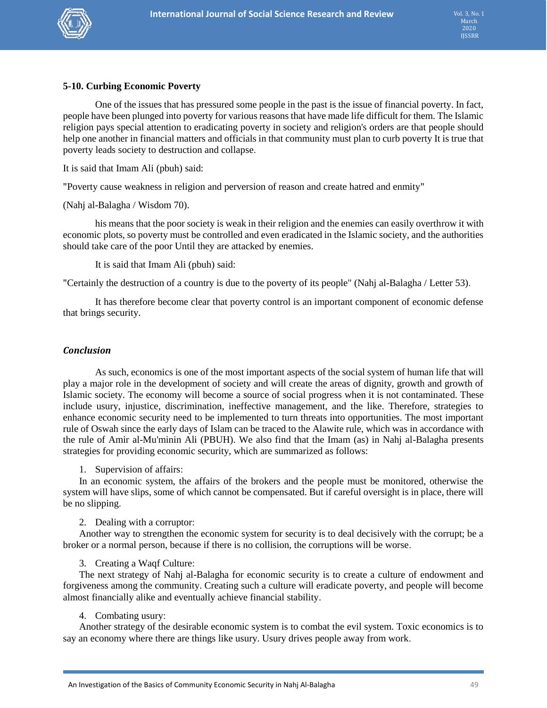

# **5-10. Curbing Economic Poverty**

One of the issues that has pressured some people in the past is the issue of financial poverty. In fact, people have been plunged into poverty for various reasons that have made life difficult for them. The Islamic religion pays special attention to eradicating poverty in society and religion's orders are that people should help one another in financial matters and officials in that community must plan to curb poverty It is true that poverty leads society to destruction and collapse.

It is said that Imam Ali (pbuh) said:

"Poverty cause weakness in religion and perversion of reason and create hatred and enmity"

(Nahj al-Balagha / Wisdom 70).

his means that the poor society is weak in their religion and the enemies can easily overthrow it with economic plots, so poverty must be controlled and even eradicated in the Islamic society, and the authorities should take care of the poor Until they are attacked by enemies.

It is said that Imam Ali (pbuh) said:

"Certainly the destruction of a country is due to the poverty of its people" (Nahj al-Balagha / Letter 53).

It has therefore become clear that poverty control is an important component of economic defense that brings security.

#### *Conclusion*

As such, economics is one of the most important aspects of the social system of human life that will play a major role in the development of society and will create the areas of dignity, growth and growth of Islamic society. The economy will become a source of social progress when it is not contaminated. These include usury, injustice, discrimination, ineffective management, and the like. Therefore, strategies to enhance economic security need to be implemented to turn threats into opportunities. The most important rule of Oswah since the early days of Islam can be traced to the Alawite rule, which was in accordance with the rule of Amir al-Mu'minin Ali (PBUH). We also find that the Imam (as) in Nahj al-Balagha presents strategies for providing economic security, which are summarized as follows:

1. Supervision of affairs:

In an economic system, the affairs of the brokers and the people must be monitored, otherwise the system will have slips, some of which cannot be compensated. But if careful oversight is in place, there will be no slipping.

2. Dealing with a corruptor:

Another way to strengthen the economic system for security is to deal decisively with the corrupt; be a broker or a normal person, because if there is no collision, the corruptions will be worse.

3. Creating a Waqf Culture:

The next strategy of Nahj al-Balagha for economic security is to create a culture of endowment and forgiveness among the community. Creating such a culture will eradicate poverty, and people will become almost financially alike and eventually achieve financial stability.

4. Combating usury:

Another strategy of the desirable economic system is to combat the evil system. Toxic economics is to say an economy where there are things like usury. Usury drives people away from work.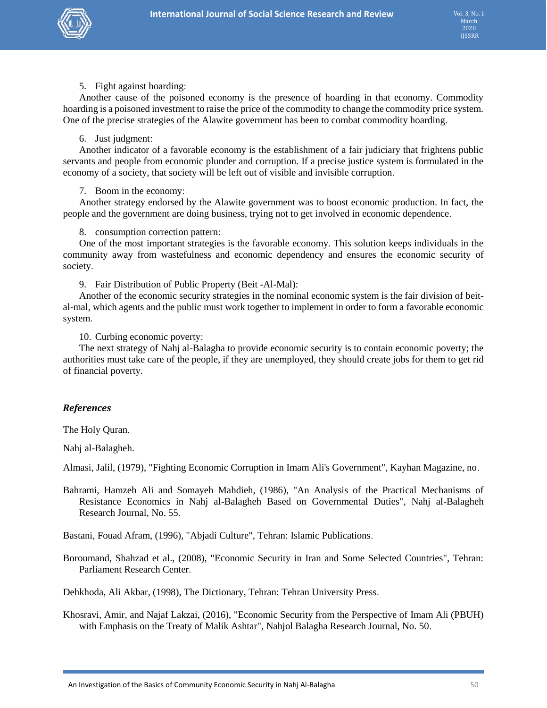

5. Fight against hoarding:

Another cause of the poisoned economy is the presence of hoarding in that economy. Commodity hoarding is a poisoned investment to raise the price of the commodity to change the commodity price system. One of the precise strategies of the Alawite government has been to combat commodity hoarding.

#### 6. Just judgment:

Another indicator of a favorable economy is the establishment of a fair judiciary that frightens public servants and people from economic plunder and corruption. If a precise justice system is formulated in the economy of a society, that society will be left out of visible and invisible corruption.

# 7. Boom in the economy:

Another strategy endorsed by the Alawite government was to boost economic production. In fact, the people and the government are doing business, trying not to get involved in economic dependence.

8. consumption correction pattern:

One of the most important strategies is the favorable economy. This solution keeps individuals in the community away from wastefulness and economic dependency and ensures the economic security of society.

9. Fair Distribution of Public Property (Beit -Al-Mal):

Another of the economic security strategies in the nominal economic system is the fair division of beital-mal, which agents and the public must work together to implement in order to form a favorable economic system.

10. Curbing economic poverty:

The next strategy of Nahj al-Balagha to provide economic security is to contain economic poverty; the authorities must take care of the people, if they are unemployed, they should create jobs for them to get rid of financial poverty.

# *References*

The Holy Quran.

Nahj al-Balagheh.

Almasi, Jalil, (1979), "Fighting Economic Corruption in Imam Ali's Government", Kayhan Magazine, no.

Bahrami, Hamzeh Ali and Somayeh Mahdieh, (1986), "An Analysis of the Practical Mechanisms of Resistance Economics in Nahj al-Balagheh Based on Governmental Duties", Nahj al-Balagheh Research Journal, No. 55.

Bastani, Fouad Afram, (1996), "Abjadi Culture", Tehran: Islamic Publications.

Boroumand, Shahzad et al., (2008), "Economic Security in Iran and Some Selected Countries", Tehran: Parliament Research Center.

Dehkhoda, Ali Akbar, (1998), The Dictionary, Tehran: Tehran University Press.

Khosravi, Amir, and Najaf Lakzai, (2016), "Economic Security from the Perspective of Imam Ali (PBUH) with Emphasis on the Treaty of Malik Ashtar", Nahjol Balagha Research Journal, No. 50.